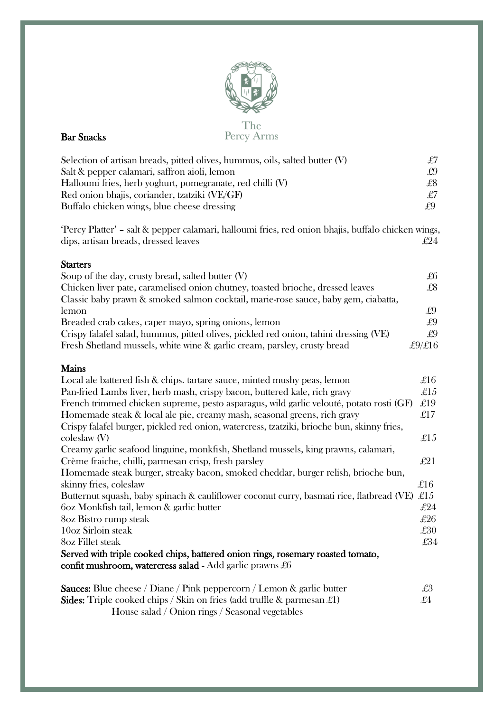

#### The Percy Arms

| Selection of artisan breads, pitted olives, hummus, oils, salted butter $(V)$ | £7 |
|-------------------------------------------------------------------------------|----|
| Salt & pepper calamari, saffron aioli, lemon                                  | £9 |
| Halloumi fries, herb yoghurt, pomegranate, red chilli (V)                     | £8 |
| Red onion bhajis, coriander, tzatziki (VE/GF)                                 | £7 |
| Buffalo chicken wings, blue cheese dressing                                   | £9 |

'Percy Platter' – salt & pepper calamari, halloumi fries, red onion bhajis, buffalo chicken wings, dips, artisan breads, dressed leaves  $£24$ 

## **Starters**

| Soup of the day, crusty bread, salted butter $(V)$                                   | £6     |
|--------------------------------------------------------------------------------------|--------|
| Chicken liver pate, caramelised onion chutney, toasted brioche, dressed leaves       | £8     |
| Classic baby prawn & smoked salmon cocktail, marie-rose sauce, baby gem, ciabatta,   |        |
| lemon                                                                                | £9     |
| Breaded crab cakes, caper mayo, spring onions, lemon                                 | £9     |
| Crispy falafel salad, hummus, pitted olives, pickled red onion, tahini dressing (VE) | £9     |
| Fresh Shetland mussels, white wine & garlic cream, parsley, crusty bread             | £9/£16 |

# Mains

| Local ale battered fish & chips. tartare sauce, minted mushy peas, lemon                   | £16         |
|--------------------------------------------------------------------------------------------|-------------|
| Pan-fried Lambs liver, herb mash, crispy bacon, buttered kale, rich gravy                  | £15         |
| French trimmed chicken supreme, pesto asparagus, wild garlic velouté, potato rosti (GF)    | £19         |
| Homemade steak & local ale pie, creamy mash, seasonal greens, rich gravy                   | $\pounds17$ |
| Crispy falafel burger, pickled red onion, watercress, tzatziki, brioche bun, skinny fries, |             |
| $\text{coleslaw (V)}$                                                                      | £ $15$      |
| Creamy garlic seafood linguine, monkfish, Shetland mussels, king prawns, calamari,         |             |
| Crème fraiche, chilli, parmesan crisp, fresh parsley                                       | $\pounds21$ |
| Homemade steak burger, streaky bacon, smoked cheddar, burger relish, brioche bun,          |             |
| skinny fries, coleslaw                                                                     | £16         |
| Butternut squash, baby spinach & cauliflower coconut curry, basmati rice, flatbread (VE)   | £ $15$      |
| 602 Monkfish tail, lemon & garlic butter                                                   | £24         |
| 8oz Bistro rump steak                                                                      | £26         |
| 10oz Sirloin steak                                                                         | £30         |
| 8oz Fillet steak                                                                           | £34         |
| Served with triple cooked chips, battered onion rings, rosemary roasted tomato,            |             |
| confit mushroom, watercress salad - Add garlic prawns $£6$                                 |             |
| <b>Sauces:</b> Blue cheese / Diane / Pink peppercorn / Lemon & garlic butter               | £3          |
| <b>Sides:</b> Triple cooked chips / Skin on fries (add truffle & parmesan $\mathcal{L}1$ ) | £4          |

House salad / Onion rings / Seasonal vegetables

# Bar Snacks